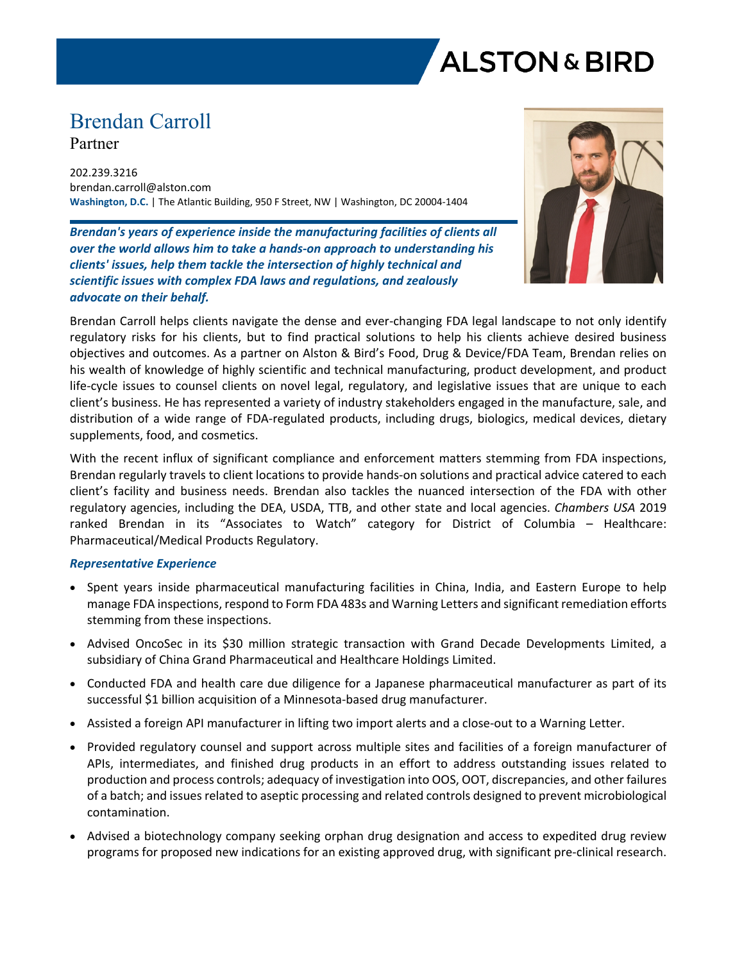

# Brendan Carroll

Partner

202.239.3216 brendan.carroll@alston.com **Washington, D.C.** | The Atlantic Building, 950 F Street, NW | Washington, DC 20004-1404

*Brendan's years of experience inside the manufacturing facilities of clients all over the world allows him to take a hands-on approach to understanding his clients' issues, help them tackle the intersection of highly technical and scientific issues with complex FDA laws and regulations, and zealously advocate on their behalf.*



Brendan Carroll helps clients navigate the dense and ever-changing FDA legal landscape to not only identify regulatory risks for his clients, but to find practical solutions to help his clients achieve desired business objectives and outcomes. As a partner on Alston & Bird's Food, Drug & Device/FDA Team, Brendan relies on his wealth of knowledge of highly scientific and technical manufacturing, product development, and product life-cycle issues to counsel clients on novel legal, regulatory, and legislative issues that are unique to each client's business. He has represented a variety of industry stakeholders engaged in the manufacture, sale, and distribution of a wide range of FDA-regulated products, including drugs, biologics, medical devices, dietary supplements, food, and cosmetics.

With the recent influx of significant compliance and enforcement matters stemming from FDA inspections, Brendan regularly travels to client locations to provide hands-on solutions and practical advice catered to each client's facility and business needs. Brendan also tackles the nuanced intersection of the FDA with other regulatory agencies, including the DEA, USDA, TTB, and other state and local agencies. *Chambers USA* 2019 ranked Brendan in its "Associates to Watch" category for District of Columbia – Healthcare: Pharmaceutical/Medical Products Regulatory.

# *Representative Experience*

- Spent years inside pharmaceutical manufacturing facilities in China, India, and Eastern Europe to help manage FDA inspections, respond to Form FDA 483s and Warning Letters and significant remediation efforts stemming from these inspections.
- Advised OncoSec in its \$30 million strategic transaction with Grand Decade Developments Limited, a subsidiary of China Grand Pharmaceutical and Healthcare Holdings Limited.
- Conducted FDA and health care due diligence for a Japanese pharmaceutical manufacturer as part of its successful \$1 billion acquisition of a Minnesota-based drug manufacturer.
- Assisted a foreign API manufacturer in lifting two import alerts and a close-out to a Warning Letter.
- Provided regulatory counsel and support across multiple sites and facilities of a foreign manufacturer of APIs, intermediates, and finished drug products in an effort to address outstanding issues related to production and process controls; adequacy of investigation into OOS, OOT, discrepancies, and other failures of a batch; and issues related to aseptic processing and related controls designed to prevent microbiological contamination.
- Advised a biotechnology company seeking orphan drug designation and access to expedited drug review programs for proposed new indications for an existing approved drug, with significant pre-clinical research.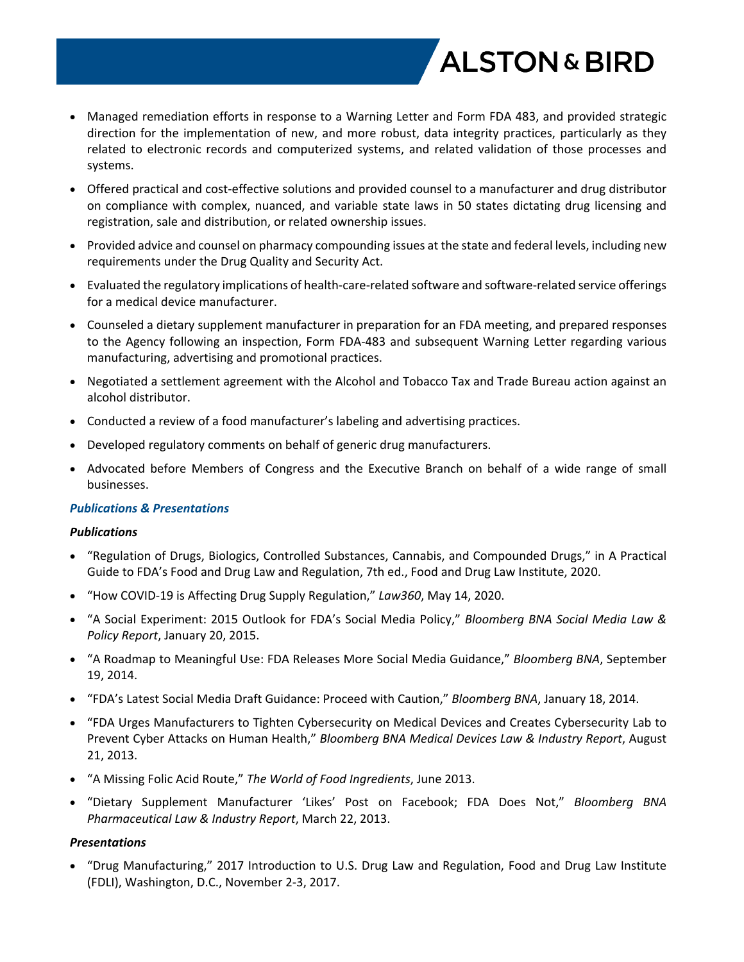

- Managed remediation efforts in response to a Warning Letter and Form FDA 483, and provided strategic direction for the implementation of new, and more robust, data integrity practices, particularly as they related to electronic records and computerized systems, and related validation of those processes and systems.
- Offered practical and cost-effective solutions and provided counsel to a manufacturer and drug distributor on compliance with complex, nuanced, and variable state laws in 50 states dictating drug licensing and registration, sale and distribution, or related ownership issues.
- Provided advice and counsel on pharmacy compounding issues at the state and federal levels, including new requirements under the Drug Quality and Security Act.
- Evaluated the regulatory implications of health-care-related software and software-related service offerings for a medical device manufacturer.
- Counseled a dietary supplement manufacturer in preparation for an FDA meeting, and prepared responses to the Agency following an inspection, Form FDA-483 and subsequent Warning Letter regarding various manufacturing, advertising and promotional practices.
- Negotiated a settlement agreement with the Alcohol and Tobacco Tax and Trade Bureau action against an alcohol distributor.
- Conducted a review of a food manufacturer's labeling and advertising practices.
- Developed regulatory comments on behalf of generic drug manufacturers.
- Advocated before Members of Congress and the Executive Branch on behalf of a wide range of small businesses.

#### *Publications & Presentations*

#### *Publications*

- "Regulation of Drugs, Biologics, Controlled Substances, Cannabis, and Compounded Drugs," in A Practical Guide to FDA's Food and Drug Law and Regulation, 7th ed., Food and Drug Law Institute, 2020.
- "How COVID-19 is Affecting Drug Supply Regulation," *Law360*, May 14, 2020.
- "A Social Experiment: 2015 Outlook for FDA's Social Media Policy," *Bloomberg BNA Social Media Law & Policy Report*, January 20, 2015.
- "A Roadmap to Meaningful Use: FDA Releases More Social Media Guidance," *Bloomberg BNA*, September 19, 2014.
- "FDA's Latest Social Media Draft Guidance: Proceed with Caution," *Bloomberg BNA*, January 18, 2014.
- "FDA Urges Manufacturers to Tighten Cybersecurity on Medical Devices and Creates Cybersecurity Lab to Prevent Cyber Attacks on Human Health," *Bloomberg BNA Medical Devices Law & Industry Report*, August 21, 2013.
- "A Missing Folic Acid Route," *The World of Food Ingredients*, June 2013.
- "Dietary Supplement Manufacturer 'Likes' Post on Facebook; FDA Does Not," *Bloomberg BNA Pharmaceutical Law & Industry Report*, March 22, 2013.

# *Presentations*

 "Drug Manufacturing," 2017 Introduction to U.S. Drug Law and Regulation, Food and Drug Law Institute (FDLI), Washington, D.C., November 2-3, 2017.